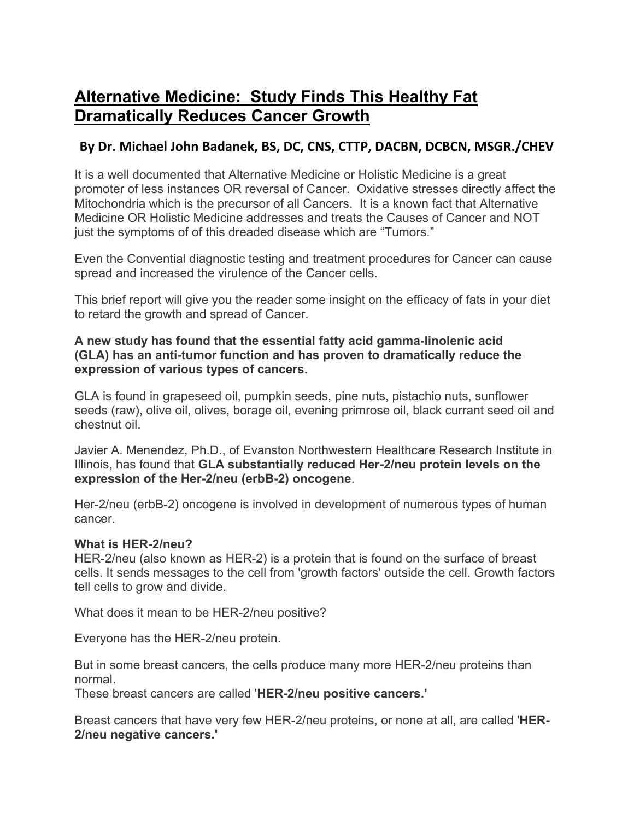## **Alternative Medicine: Study Finds This Healthy Fat Dramatically Reduces Cancer Growth**

## **By Dr. Michael John Badanek, BS, DC, CNS, CTTP, DACBN, DCBCN, MSGR./CHEV**

It is a well documented that Alternative Medicine or Holistic Medicine is a great promoter of less instances OR reversal of Cancer. Oxidative stresses directly affect the Mitochondria which is the precursor of all Cancers. It is a known fact that Alternative Medicine OR Holistic Medicine addresses and treats the Causes of Cancer and NOT just the symptoms of of this dreaded disease which are "Tumors."

Even the Convential diagnostic testing and treatment procedures for Cancer can cause spread and increased the virulence of the Cancer cells.

This brief report will give you the reader some insight on the efficacy of fats in your diet to retard the growth and spread of Cancer.

## **A new study has found that the essential fatty acid gamma-linolenic acid (GLA) has an anti-tumor function and has proven to dramatically reduce the expression of various types of cancers.**

GLA is found in grapeseed oil, pumpkin seeds, pine nuts, pistachio nuts, sunflower seeds (raw), olive oil, olives, borage oil, evening primrose oil, black currant seed oil and chestnut oil.

Javier A. Menendez, Ph.D., of Evanston Northwestern Healthcare Research Institute in Illinois, has found that **GLA substantially reduced Her-2/neu protein levels on the expression of the Her-2/neu (erbB-2) oncogene**.

Her-2/neu (erbB-2) oncogene is involved in development of numerous types of human cancer.

## **What is HER-2/neu?**

HER-2/neu (also known as HER-2) is a protein that is found on the surface of breast cells. It sends messages to the cell from 'growth factors' outside the cell. Growth factors tell cells to grow and divide.

What does it mean to be HER-2/neu positive?

Everyone has the HER-2/neu protein.

But in some breast cancers, the cells produce many more HER-2/neu proteins than normal.

These breast cancers are called '**HER-2/neu positive cancers.'** 

Breast cancers that have very few HER-2/neu proteins, or none at all, are called '**HER-2/neu negative cancers.'**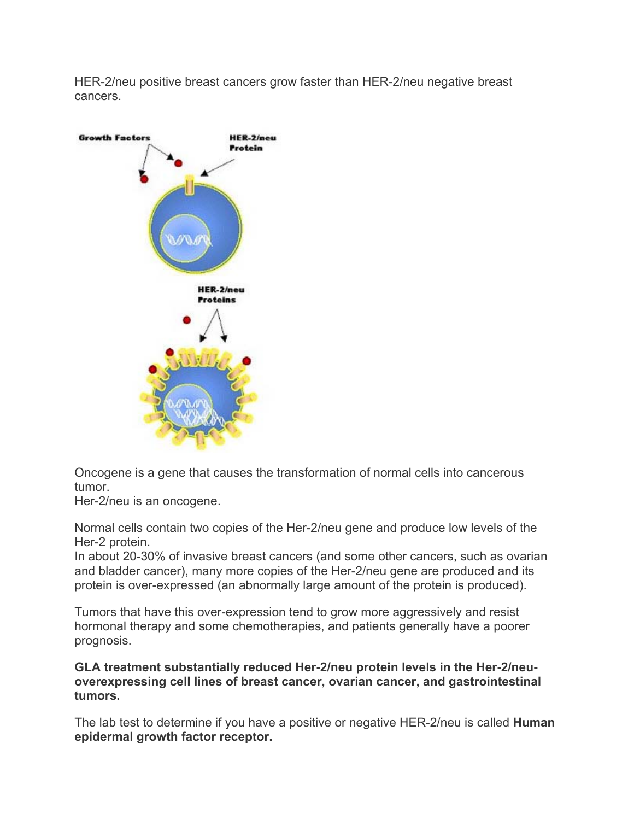HER-2/neu positive breast cancers grow faster than HER-2/neu negative breast cancers.



Oncogene is a gene that causes the transformation of normal cells into cancerous tumor.

Her-2/neu is an oncogene.

Normal cells contain two copies of the Her-2/neu gene and produce low levels of the Her-2 protein.

In about 20-30% of invasive breast cancers (and some other cancers, such as ovarian and bladder cancer), many more copies of the Her-2/neu gene are produced and its protein is over-expressed (an abnormally large amount of the protein is produced).

Tumors that have this over-expression tend to grow more aggressively and resist hormonal therapy and some chemotherapies, and patients generally have a poorer prognosis.

**GLA treatment substantially reduced Her-2/neu protein levels in the Her-2/neuoverexpressing cell lines of breast cancer, ovarian cancer, and gastrointestinal tumors.** 

The lab test to determine if you have a positive or negative HER-2/neu is called **Human epidermal growth factor receptor.**